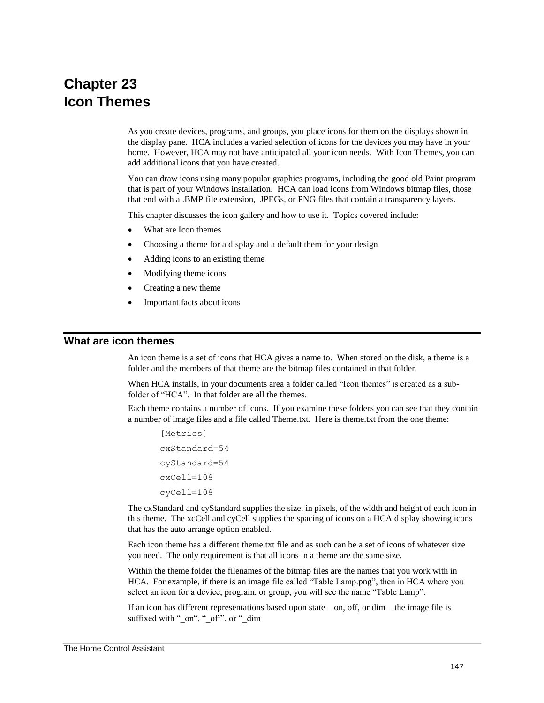# **Chapter 23 Icon Themes**

As you create devices, programs, and groups, you place icons for them on the displays shown in the display pane. HCA includes a varied selection of icons for the devices you may have in your home. However, HCA may not have anticipated all your icon needs. With Icon Themes, you can add additional icons that you have created.

You can draw icons using many popular graphics programs, including the good old Paint program that is part of your Windows installation. HCA can load icons from Windows bitmap files, those that end with a .BMP file extension, JPEGs, or PNG files that contain a transparency layers.

This chapter discusses the icon gallery and how to use it. Topics covered include:

- What are Icon themes
- Choosing a theme for a display and a default them for your design
- Adding icons to an existing theme
- Modifying theme icons
- Creating a new theme
- Important facts about icons

### **What are icon themes**

An icon theme is a set of icons that HCA gives a name to. When stored on the disk, a theme is a folder and the members of that theme are the bitmap files contained in that folder.

When HCA installs, in your documents area a folder called "Icon themes" is created as a subfolder of "HCA". In that folder are all the themes.

Each theme contains a number of icons. If you examine these folders you can see that they contain a number of image files and a file called Theme.txt. Here is theme.txt from the one theme:

```
[Metrics]
cxStandard=54
cyStandard=54
cxCell=108
cyCell=108
```
The cxStandard and cyStandard supplies the size, in pixels, of the width and height of each icon in this theme. The xcCell and cyCell supplies the spacing of icons on a HCA display showing icons that has the auto arrange option enabled.

Each icon theme has a different theme.txt file and as such can be a set of icons of whatever size you need. The only requirement is that all icons in a theme are the same size.

Within the theme folder the filenames of the bitmap files are the names that you work with in HCA. For example, if there is an image file called "Table Lamp.png", then in HCA where you select an icon for a device, program, or group, you will see the name "Table Lamp".

If an icon has different representations based upon state – on, off, or  $\dim$  – the image file is suffixed with " on", " off", or " dim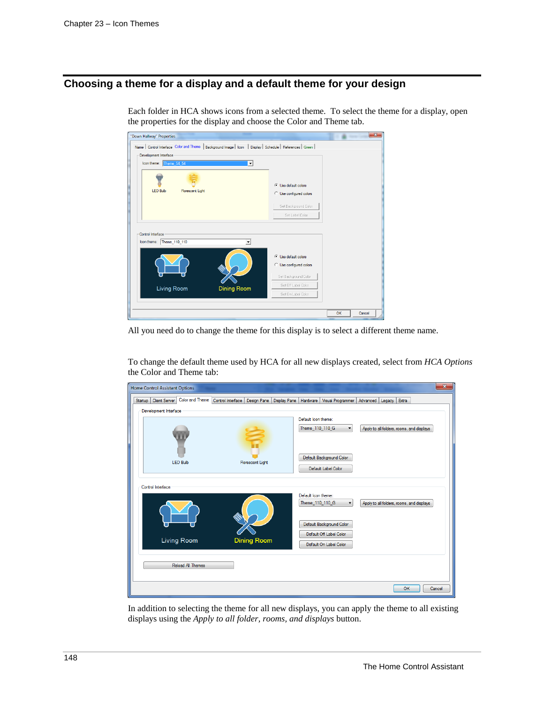## **Choosing a theme for a display and a default theme for your design**

| "Down Hallway" Properties                                                                                    |                         |    | $\sim$ |
|--------------------------------------------------------------------------------------------------------------|-------------------------|----|--------|
| Name   Control Interface Color and Theme   Background Image   Icon   Display   Schedule   References   Green |                         |    |        |
| Development Interface                                                                                        |                         |    |        |
| Icon theme: Theme 54 54<br>$\mathbf{v}$                                                                      |                         |    |        |
|                                                                                                              |                         |    |        |
|                                                                                                              |                         |    |        |
|                                                                                                              | C Use default colors    |    |        |
| <b>LED Bulb</b><br><b>Florescent Light</b>                                                                   | C Use configured colors |    |        |
|                                                                                                              |                         |    |        |
|                                                                                                              | Set Background Color    |    |        |
|                                                                                                              | Set Label Color         |    |        |
|                                                                                                              |                         |    |        |
| Control Interface                                                                                            |                         |    |        |
| Icon theme:<br>Theme_110_110                                                                                 |                         |    |        |
|                                                                                                              |                         |    |        |
|                                                                                                              | C Use default colors    |    |        |
|                                                                                                              | C Use configured colors |    |        |
|                                                                                                              |                         |    |        |
|                                                                                                              | Set Background Color    |    |        |
|                                                                                                              | Set Off Label Color     |    |        |
| Living Room<br><b>Dining Room</b>                                                                            | Set On Label Color      |    |        |
|                                                                                                              |                         |    |        |
|                                                                                                              |                         |    |        |
|                                                                                                              |                         | OK | Cancel |
|                                                                                                              |                         |    |        |

Each folder in HCA shows icons from a selected theme. To select the theme for a display, open the properties for the display and choose the Color and Theme tab.

All you need do to change the theme for this display is to select a different theme name.

To change the default theme used by HCA for all new displays created, select from *HCA Options* the Color and Theme tab:

| <b>Home Control Assistant Options</b>              |                                                  |                                                                    | $\mathbf{x}$                              |
|----------------------------------------------------|--------------------------------------------------|--------------------------------------------------------------------|-------------------------------------------|
| Color and Theme<br><b>Client Server</b><br>Startup | Control Interface<br>Design Pane<br>Display Pane | Visual Programmer<br>Hardware                                      | Extra<br>Advanced<br>Legacy               |
| Development Interface                              |                                                  |                                                                    |                                           |
|                                                    |                                                  | Default Icon theme:                                                |                                           |
|                                                    |                                                  | Theme_110_110_G<br>$\overline{\phantom{a}}$                        | Apply to all folders, rooms, and displays |
|                                                    |                                                  |                                                                    |                                           |
|                                                    |                                                  |                                                                    |                                           |
| <b>LED Bulb</b>                                    | <b>Florescent Light</b>                          | Default Background Color                                           |                                           |
|                                                    |                                                  | Default Label Color                                                |                                           |
|                                                    |                                                  |                                                                    |                                           |
| Control Interface                                  |                                                  |                                                                    |                                           |
|                                                    |                                                  | Default Icon theme:<br>Theme_110_110_G<br>$\overline{\phantom{a}}$ | Apply to all folders, rooms, and displays |
|                                                    |                                                  |                                                                    |                                           |
|                                                    |                                                  |                                                                    |                                           |
|                                                    |                                                  | Default Background Color                                           |                                           |
| Living Room                                        | <b>Dining Room</b>                               | Default Off Label Color                                            |                                           |
|                                                    |                                                  | Default On Label Color                                             |                                           |
|                                                    |                                                  |                                                                    |                                           |
| <b>Reload All Themes</b>                           |                                                  |                                                                    |                                           |
|                                                    |                                                  |                                                                    |                                           |
|                                                    |                                                  |                                                                    | OK<br>Cancel                              |

In addition to selecting the theme for all new displays, you can apply the theme to all existing displays using the *Apply to all folder, rooms, and displays* button.